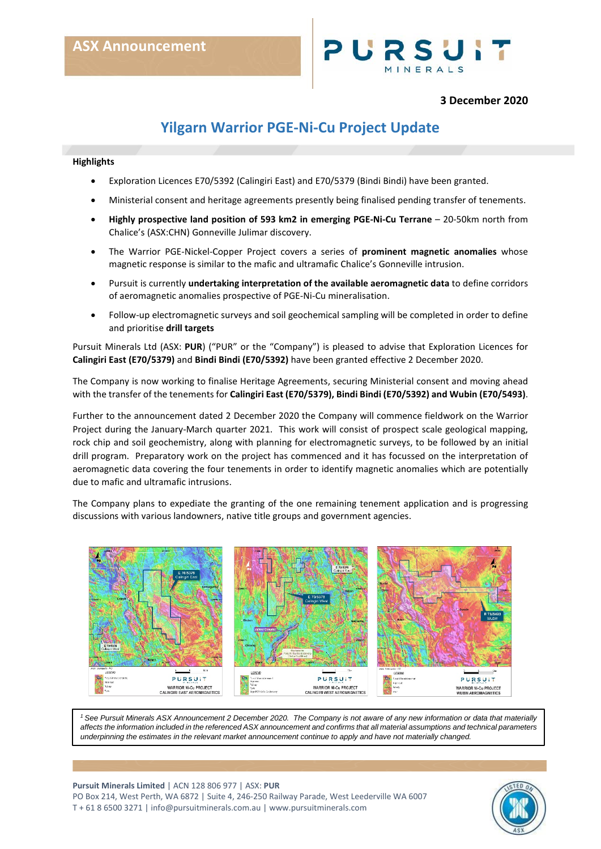

## **3 December 2020**

# **Yilgarn Warrior PGE-Ni-Cu Project Update**

### **Highlights**

- Exploration Licences E70/5392 (Calingiri East) and E70/5379 (Bindi Bindi) have been granted.
- Ministerial consent and heritage agreements presently being finalised pending transfer of tenements.
- **Highly prospective land position of 593 km2 in emerging PGE-Ni-Cu Terrane** 20-50km north from Chalice's (ASX:CHN) Gonneville Julimar discovery.
- The Warrior PGE-Nickel-Copper Project covers a series of **prominent magnetic anomalies** whose magnetic response is similar to the mafic and ultramafic Chalice's Gonneville intrusion.
- Pursuit is currently **undertaking interpretation of the available aeromagnetic data** to define corridors of aeromagnetic anomalies prospective of PGE-Ni-Cu mineralisation.
- Follow-up electromagnetic surveys and soil geochemical sampling will be completed in order to define and prioritise **drill targets**

Pursuit Minerals Ltd (ASX: **PUR**) ("PUR" or the "Company") is pleased to advise that Exploration Licences for **Calingiri East (E70/5379)** and **Bindi Bindi (E70/5392)** have been granted effective 2 December 2020.

The Company is now working to finalise Heritage Agreements, securing Ministerial consent and moving ahead with the transfer of the tenements for **Calingiri East (E70/5379), Bindi Bindi (E70/5392) and Wubin (E70/5493)**.

Further to the announcement dated 2 December 2020 the Company will commence fieldwork on the Warrior Project during the January-March quarter 2021. This work will consist of prospect scale geological mapping, rock chip and soil geochemistry, along with planning for electromagnetic surveys, to be followed by an initial drill program. Preparatory work on the project has commenced and it has focussed on the interpretation of aeromagnetic data covering the four tenements in order to identify magnetic anomalies which are potentially due to mafic and ultramafic intrusions.

The Company plans to expediate the granting of the one remaining tenement application and is progressing discussions with various landowners, native title groups and government agencies.



*1 See Pursuit Minerals ASX Announcement 2 December 2020. The Company is not aware of any new information or data that materially affects the information included in the referenced ASX announcement and confirms that all material assumptions and technical parameters underpinning the estimates in the relevant market announcement continue to apply and have not materially changed.*

**Pursuit Minerals Limited** | ACN 128 806 977 | ASX: **PUR** PO Box 214, West Perth, WA 6872 | Suite 4, 246-250 Railway Parade, West Leederville WA 6007 T + 61 8 6500 3271 [| info@pursuitminerals.com.au](mailto:info@pursuitminerals.com.au) [| www.pursuitminerals.com](http://www.pursuitminerals.com/)

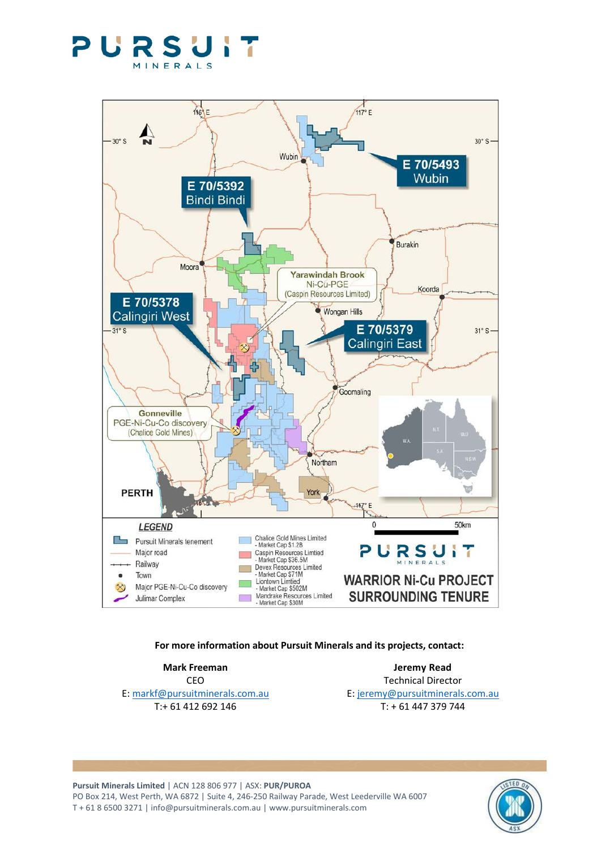



## **For more information about Pursuit Minerals and its projects, contact:**

**Mark Freeman Jeremy Read** CEO Technical Director E: [markf@pursuitminerals.com.au](mailto:markf@pursuitminerals.com.au) E: [jeremy@pursuitminerals.com.au](mailto:jeremy@pursuitminerals.com.au) T: + 61 412 692 146 T: + 61 447 379 744